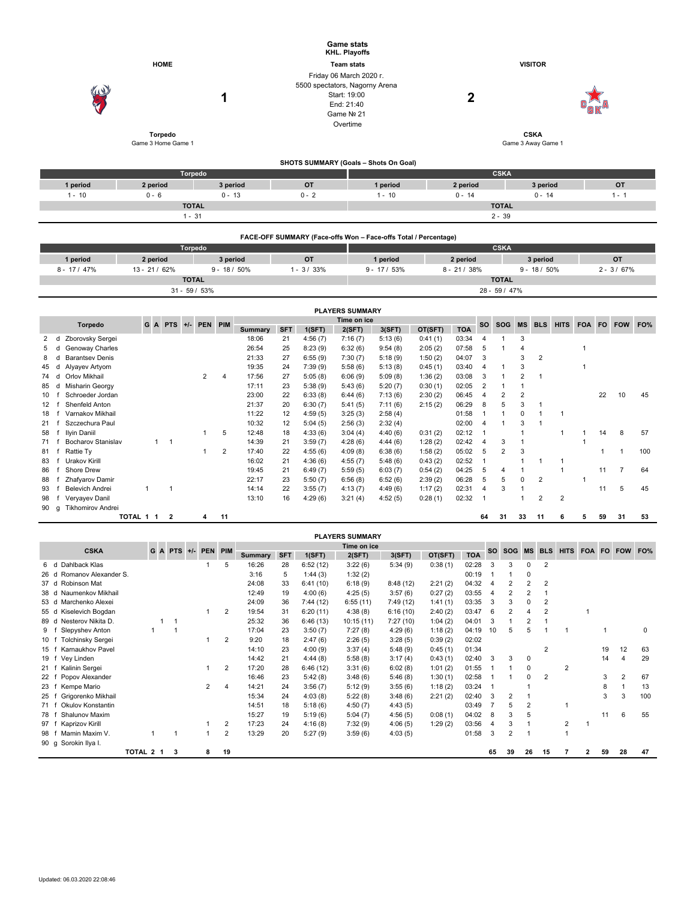|                 |                             |                    |                |                |                 |                 |                |                     |                                | <b>Game stats</b><br>KHL. Playoffs |                                       |                                                                 |                                   |                |                         |                    |                |                |              |           |               |     |  |
|-----------------|-----------------------------|--------------------|----------------|----------------|-----------------|-----------------|----------------|---------------------|--------------------------------|------------------------------------|---------------------------------------|-----------------------------------------------------------------|-----------------------------------|----------------|-------------------------|--------------------|----------------|----------------|--------------|-----------|---------------|-----|--|
| <b>HOME</b>     |                             |                    |                |                |                 |                 |                |                     | <b>Team stats</b>              |                                    |                                       |                                                                 | <b>VISITOR</b>                    |                |                         |                    |                |                |              |           |               |     |  |
|                 |                             |                    |                |                |                 |                 |                |                     |                                | Friday 06 March 2020 r.            |                                       |                                                                 |                                   |                |                         |                    |                |                |              |           |               |     |  |
|                 |                             |                    |                |                |                 |                 |                |                     | 5500 spectators, Nagorny Arena |                                    |                                       |                                                                 |                                   |                |                         |                    |                |                |              |           |               |     |  |
|                 |                             |                    |                |                |                 | 1               |                |                     |                                | Start: 19:00                       |                                       |                                                                 | 2                                 |                |                         |                    |                |                |              |           |               |     |  |
|                 |                             |                    |                |                |                 |                 |                |                     |                                | End: 21:40<br>Game Nº 21           |                                       |                                                                 |                                   |                |                         |                    |                |                |              |           |               |     |  |
|                 |                             |                    |                |                |                 |                 |                |                     |                                | Overtime                           |                                       |                                                                 |                                   |                |                         |                    |                |                |              |           |               |     |  |
|                 |                             |                    |                |                |                 |                 |                |                     |                                |                                    |                                       |                                                                 |                                   |                |                         |                    |                |                |              |           |               |     |  |
|                 |                             | Game 3 Home Game 1 | <b>Torpedo</b> |                |                 |                 |                |                     |                                |                                    |                                       |                                                                 |                                   |                |                         | Game 3 Away Game 1 | <b>CSKA</b>    |                |              |           |               |     |  |
|                 |                             |                    |                |                |                 |                 |                |                     |                                |                                    |                                       |                                                                 |                                   |                |                         |                    |                |                |              |           |               |     |  |
|                 |                             |                    |                |                |                 |                 |                |                     |                                |                                    | SHOTS SUMMARY (Goals - Shots On Goal) |                                                                 |                                   |                |                         |                    |                |                |              |           |               |     |  |
|                 |                             |                    |                | <b>Torpedo</b> |                 |                 |                |                     |                                |                                    |                                       |                                                                 |                                   |                | <b>CSKA</b>             |                    |                |                |              |           |               |     |  |
|                 | 1 period                    | 2 period           |                | 3 period       |                 |                 |                | OT<br>1 period      |                                |                                    |                                       | 2 period                                                        |                                   |                |                         |                    | 3 period       |                |              | <b>OT</b> |               |     |  |
|                 | $1 - 10$                    | $0 - 6$            |                |                |                 | $0 - 13$        |                | $0 - 2$<br>$1 - 10$ |                                |                                    |                                       | $0 - 14$                                                        |                                   |                | $0 - 14$                |                    |                |                |              | $1 - 1$   |               |     |  |
|                 |                             |                    |                | <b>TOTAL</b>   |                 |                 |                |                     |                                |                                    |                                       |                                                                 |                                   |                | <b>TOTAL</b>            |                    |                |                |              |           |               |     |  |
|                 |                             |                    |                | $1 - 31$       |                 |                 |                |                     |                                |                                    |                                       |                                                                 |                                   |                | $2 - 39$                |                    |                |                |              |           |               |     |  |
|                 |                             |                    |                |                |                 |                 |                |                     |                                |                                    |                                       |                                                                 |                                   |                |                         |                    |                |                |              |           |               |     |  |
|                 |                             |                    |                |                |                 |                 |                |                     |                                |                                    |                                       | FACE-OFF SUMMARY (Face-offs Won - Face-offs Total / Percentage) |                                   |                |                         |                    |                |                |              |           |               |     |  |
|                 |                             |                    |                | Torpedo        |                 |                 |                |                     |                                |                                    |                                       |                                                                 |                                   |                | <b>CSKA</b>             |                    |                |                |              |           |               |     |  |
|                 | 1 period                    | 2 period           |                |                |                 | 3 period        |                |                     | OT                             |                                    | 1 period                              |                                                                 | 2 period                          |                |                         |                    |                | 3 period       |              |           | OT            |     |  |
|                 | $8 - 17 / 47%$              | $13 - 21/62%$      |                |                |                 | $9 - 18 / 50\%$ |                |                     | $1 - 3 / 33%$                  |                                    | $9 - 17 / 53%$                        |                                                                 | $8 - 21 / 38%$<br>$9 - 18 / 50\%$ |                |                         |                    |                |                |              |           | $2 - 3 / 67%$ |     |  |
|                 |                             |                    |                | <b>TOTAL</b>   |                 |                 |                |                     |                                |                                    |                                       |                                                                 |                                   |                | <b>TOTAL</b>            |                    |                |                |              |           |               |     |  |
|                 |                             |                    |                |                | $31 - 59 / 53%$ |                 |                |                     |                                |                                    |                                       |                                                                 |                                   |                | 28 - 59 / 47%           |                    |                |                |              |           |               |     |  |
|                 |                             |                    |                |                |                 |                 |                |                     |                                | <b>PLAYERS SUMMARY</b>             |                                       |                                                                 |                                   |                |                         |                    |                |                |              |           |               |     |  |
|                 |                             |                    |                |                |                 |                 |                |                     |                                | Time on ice                        |                                       |                                                                 |                                   |                |                         |                    |                |                |              |           |               |     |  |
|                 | <b>Torpedo</b>              | GA                 |                | $PTS +/-$      | PEN PIM         |                 | <b>Summary</b> | <b>SFT</b>          | 1(SFT)                         | 2(SFT)                             | 3(SFT)                                | OT(SFT)                                                         | <b>TOA</b>                        | <b>SO</b>      | <b>SOG</b>              | <b>MS</b>          | <b>BLS</b>     | <b>HITS</b>    | <b>FOA</b>   | <b>FO</b> | <b>FOW</b>    | FO% |  |
| 2               | Zborovsky Sergei<br>d       |                    |                |                |                 |                 | 18:06          | 21                  | 4:56(7)                        | 7:16(7)                            | 5:13(6)                               | 0:41(1)                                                         | 03:34                             | 4              | $\mathbf{1}$            | 3                  |                |                |              |           |               |     |  |
| 5               | Genoway Charles<br>d        |                    |                |                |                 |                 | 26:54          | 25                  | 8:23(9)                        | 6:32(6)                            | 9:54(8)                               | 2:05(2)                                                         | 07:58                             | 5              | $\mathbf{1}$            | $\overline{4}$     |                |                | $\mathbf{1}$ |           |               |     |  |
| 8               | <b>Barantsev Denis</b><br>d |                    |                |                |                 |                 | 21:33          | 27                  | 6:55(9)                        | 7:30(7)                            | 5:18(9)                               | 1:50(2)                                                         | 04:07                             | 3              |                         | 3                  | $\overline{2}$ |                |              |           |               |     |  |
| 45              | Alyayev Artyom<br>d         |                    |                |                |                 |                 | 19:35          | 24                  | 7:39(9)                        | 5:58(6)                            | 5:13(8)                               | 0:45(1)                                                         | 03:40                             | $\overline{4}$ | 1                       | 3                  |                |                | $\mathbf{1}$ |           |               |     |  |
| 74              | Orlov Mikhail<br>d          |                    |                |                | $\overline{2}$  | 4               | 17:56          | 27                  | 5:05(8)                        | 6:06(9)                            | 5:09(8)                               | 1:36(2)                                                         | 03:08                             | 3              | $\mathbf{1}$            | 2                  | $\overline{1}$ |                |              |           |               |     |  |
| 85              | Misharin Georgy<br>d        |                    |                |                |                 |                 | 17:11          | 23                  | 5:38(9)                        | 5:43(6)                            | 5:20(7)                               | 0:30(1)                                                         | 02:05                             | $\overline{2}$ | 1                       | $\mathbf{1}$       |                |                |              |           |               |     |  |
| 10              | Schroeder Jordan<br>f       |                    |                |                |                 |                 | 23:00          | 22                  | 6:33(8)                        | 6:44(6)                            | 7:13(6)                               | 2:30(2)                                                         | 06:45                             | 4              | $\overline{\mathbf{c}}$ | $\overline{2}$     |                |                |              | 22        | 10            | 45  |  |
| 12 <sup>2</sup> | Shenfeld Anton<br>f         |                    |                |                |                 |                 | 21:37          | 20                  | 6:30(7)                        | 5:41(5)                            | 7:11(6)                               | 2:15(2)                                                         | 06:29                             | 8              | 5                       | 3                  | $\mathbf{1}$   |                |              |           |               |     |  |
| 18              | Varnakov Mikhail<br>f       |                    |                |                |                 |                 | 11:22          | 12                  | 4:59(5)                        | 3:25(3)                            | 2:58(4)                               |                                                                 | 01:58                             | $\overline{1}$ | $\mathbf{1}$            | $\mathsf 0$        | $\mathbf{1}$   | $\overline{1}$ |              |           |               |     |  |
| 21 f            | Szczechura Paul             |                    |                |                |                 |                 | 10:32          | 12                  | 5:04(5)                        | 2:56(3)                            | 2:32(4)                               |                                                                 | 02:00                             | $\overline{4}$ | $\mathbf{1}$            | 3                  | $\mathbf{1}$   |                |              |           |               |     |  |
| 58              | Ilyin Daniil<br>f           |                    |                |                | $\mathbf{1}$    | 5               | 12:48          | 18                  | 4:33(6)                        | 3:04(4)                            | 4:40(6)                               | 0:31(2)                                                         | 02:12                             | $\overline{1}$ |                         | $\mathbf{1}$       |                | $\mathbf{1}$   | $\mathbf{1}$ | 14        | 8             | 57  |  |
| 71              | Bocharov Stanislav<br>f     |                    | $1 \quad 1$    |                |                 |                 | 14:39          | 21                  | 3:59(7)                        | 4:28(6)                            | 4:44(6)                               | 1:28(2)                                                         | 02:42                             | $\overline{4}$ | 3                       | 1                  |                |                | $\mathbf{1}$ |           |               |     |  |
| 81 f            | Rattie Ty                   |                    |                |                | 1               | $\overline{2}$  | 17:40          | 22                  | 4:55(6)                        | 4:09(8)                            | 6:38(6)                               | 1:58(2)                                                         | 05:02                             | 5              | $\overline{2}$          | 3                  |                |                |              | -1        | $\mathbf 1$   | 100 |  |
|                 | 83 f Urakov Kirill          |                    |                |                |                 |                 | 16:02          | 21                  | 4:36(6)                        | 4:55(7)                            | 5:48(6)                               | 0:43(2)                                                         | 02:52                             | $\overline{1}$ |                         | $\mathbf{1}$       | $\mathbf{1}$   | $\overline{1}$ |              |           |               |     |  |

|    | <b>PI AYERS SUMMARY</b> |                        |           |  |  |    |       |    |         |         |         |         |                         |    |      |    |    |  |    |    |     |
|----|-------------------------|------------------------|-----------|--|--|----|-------|----|---------|---------|---------|---------|-------------------------|----|------|----|----|--|----|----|-----|
|    |                         |                        | TOTAL 1 1 |  |  | 11 |       |    |         |         |         |         |                         | 64 | - 31 | 33 | 11 |  | 59 | 31 | -53 |
|    |                         | 90 q Tikhomirov Andrei |           |  |  |    |       |    |         |         |         |         |                         |    |      |    |    |  |    |    |     |
|    |                         | 98 f Veryayev Danil    |           |  |  |    | 13:10 | 16 | 4:29(6) | 3:21(4) | 4:52(5) | 0:28(1) | 02:32                   |    |      |    |    |  |    |    |     |
| 93 |                         | Belevich Andrei        |           |  |  |    | 14:14 | 22 | 3:55(7) | 4:13(7) | 4:49(6) | 1:17(2) | $02:31 \quad 4 \quad 3$ |    |      |    |    |  |    |    | 45  |
| 88 |                         | Zhafyarov Damir        |           |  |  |    | 22:17 | 23 | 5:50(7) | 6:56(8) | 6:52(6) | 2:39(2) | 06:28 5                 |    | 5    |    |    |  |    |    |     |

86 f Shore Drew 19:45 21 6:49 (7) 5:59 (5) 6:03 (7) 0:54 (2) 04:25 5 4 1 1 11 7 64

|                                     |           |                     |   |                |                |            |          | <b>FLAILRS SUIVIMARI</b> |           |         |            |           |                |           |                |             |   |    |                |     |
|-------------------------------------|-----------|---------------------|---|----------------|----------------|------------|----------|--------------------------|-----------|---------|------------|-----------|----------------|-----------|----------------|-------------|---|----|----------------|-----|
| <b>CSKA</b>                         |           |                     |   |                |                |            |          | Time on ice              |           |         |            | <b>SO</b> | <b>SOG</b>     | <b>MS</b> | <b>BLS</b>     | <b>HITS</b> |   |    | FOA FO FOW     | FO% |
|                                     |           | G A PTS +/- PEN PIM |   |                | <b>Summary</b> | <b>SFT</b> | 1(SFT)   | 2(SFT)                   | 3(SFT)    | OT(SFT) | <b>TOA</b> |           |                |           |                |             |   |    |                |     |
| Dahlback Klas<br>6 d                |           |                     |   | 5              | 16:26          | 28         | 6:52(12) | 3:22(6)                  | 5:34(9)   | 0:38(1) | 02:28      |           | 3              | 0         | $\overline{2}$ |             |   |    |                |     |
| Romanov Alexander S.<br>26 d        |           |                     |   |                | 3:16           | 5          | 1:44(3)  | 1:32(2)                  |           |         | 00:19      |           |                | $\Omega$  |                |             |   |    |                |     |
| Robinson Mat<br>37 d                |           |                     |   |                | 24:08          | 33         | 6:41(10) | 6:18(9)                  | 8:48(12)  | 2:21(2) | 04:32      |           |                |           | $\overline{2}$ |             |   |    |                |     |
| Naumenkov Mikhail<br>38 d           |           |                     |   |                | 12:49          | 19         | 4:00(6)  | 4:25(5)                  | 3:57(6)   | 0:27(2) | 03:55      |           | 2              | 2         |                |             |   |    |                |     |
| Marchenko Alexei<br>53 d            |           |                     |   |                | 24:09          | 36         | 7:44(12) | 6:55(11)                 | 7:49 (12) | 1:41(1) | 03:35      | 3         | 3              |           |                |             |   |    |                |     |
| Kiselevich Bogdan<br>55 d           |           |                     |   | $\overline{2}$ | 19:54          | 31         | 6:20(11) | 4:38(8)                  | 6:16(10)  | 2:40(2) | 03:47      | 6         | $\overline{2}$ |           | $\overline{2}$ |             |   |    |                |     |
| Nesterov Nikita D.<br>89 d          |           | $\mathbf 1$         |   |                | 25:32          | 36         | 6:46(13) | 10:15(11)                | 7:27(10)  | 1:04(2) | 04:01      | 3         |                | 2         |                |             |   |    |                |     |
| Slepyshev Anton<br>9                |           |                     |   |                | 17:04          | 23         | 3:50(7)  | 7:27(8)                  | 4:29(6)   | 1:18(2) | 04:19      | 10        | 5              | 5         |                |             |   |    |                | 0   |
| <b>Tolchinsky Sergei</b><br>$10-1$  |           |                     |   | 2              | 9:20           | 18         | 2:47(6)  | 2:26(5)                  | 3:28(5)   | 0:39(2) | 02:02      |           |                |           |                |             |   |    |                |     |
| Karnaukhov Pavel<br>15 <sub>1</sub> |           |                     |   |                | 14:10          | 23         | 4:00(9)  | 3:37(4)                  | 5:48(9)   | 0:45(1) | 01:34      |           |                |           | $\overline{2}$ |             |   | 19 | 12             | 63  |
| Vey Linden<br>19 f                  |           |                     |   |                | 14:42          | 21         | 4:44(8)  | 5:58(8)                  | 3:17(4)   | 0:43(1) | 02:40      | -3        | 3              | 0         |                |             |   | 14 |                | 29  |
| Kalinin Sergei<br>$21 \t1$          |           |                     |   | 2              | 17:20          | 28         | 6:46(12) | 3:31(6)                  | 6:02(8)   | 1:01(2) | 01:55      |           |                | 0         |                | 2           |   |    |                |     |
| Popov Alexander<br>22               |           |                     |   |                | 16:46          | 23         | 5:42(8)  | 3:48(6)                  | 5:46(8)   | 1:30(1) | 02:58      |           |                | 0         | $\overline{2}$ |             |   | 3  | $\overline{2}$ | 67  |
| Kempe Mario<br>23                   |           |                     | 2 | 4              | 14:21          | 24         | 3:56(7)  | 5:12(9)                  | 3:55(6)   | 1:18(2) | 03:24      |           |                |           |                |             |   | 8  |                | 13  |
| Grigorenko Mikhail<br>25            |           |                     |   |                | 15:34          | 24         | 4:03(8)  | 5:22(8)                  | 3:48(6)   | 2:21(2) | 02:40      | 3         | 2              |           |                |             |   | 3  | 3              | 100 |
| Okulov Konstantin<br>71 f           |           |                     |   |                | 14:51          | 18         | 5:18(6)  | 4:50(7)                  | 4:43(5)   |         | 03:49      |           | 5              | 2         |                |             |   |    |                |     |
| Shalunov Maxim<br>78                |           |                     |   |                | 15:27          | 19         | 5:19(6)  | 5:04(7)                  | 4:56(5)   | 0:08(1) | 04:02      |           | 3              | 5         |                |             |   | 11 | 6              | 55  |
| Kaprizov Kirill<br>97               |           |                     |   | 2              | 17:23          | 24         | 4:16(8)  | 7:32(9)                  | 4:06(5)   | 1:29(2) | 03:56      | 4         | 3              |           |                | 2           |   |    |                |     |
| Mamin Maxim V.<br>98                |           |                     |   | $\overline{2}$ | 13:29          | 20         | 5:27(9)  | 3:59(6)                  | 4:03(5)   |         | 01:58      | 3         | 2              |           |                |             |   |    |                |     |
| 90 g Sorokin Ilya I.                |           |                     |   |                |                |            |          |                          |           |         |            |           |                |           |                |             |   |    |                |     |
|                                     | TOTAL 2 1 | 3                   | 8 | 19             |                |            |          |                          |           |         |            | 65        | 39             | 26        | 15             |             | 2 | 59 | 28             | 47  |